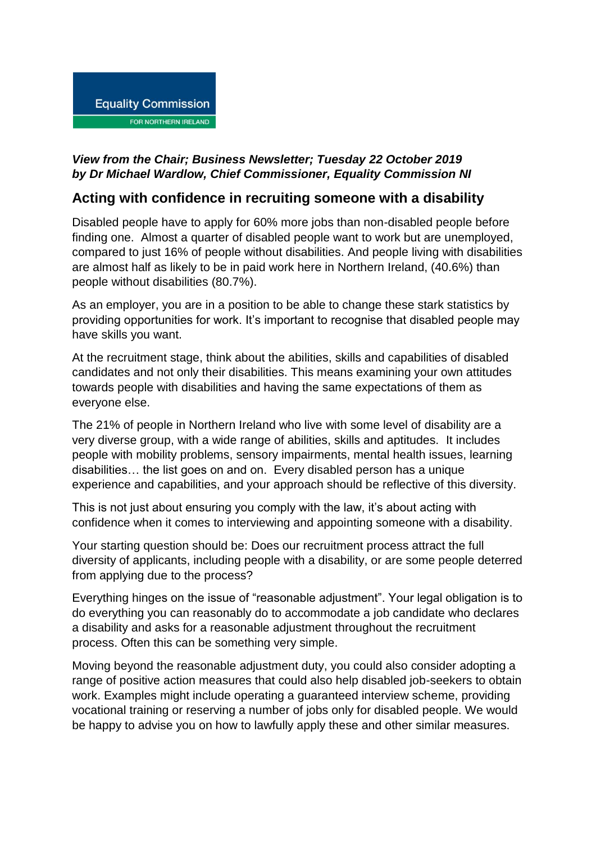

## *View from the Chair; Business Newsletter; Tuesday 22 October 2019 by Dr Michael Wardlow, Chief Commissioner, Equality Commission NI*

## **Acting with confidence in recruiting someone with a disability**

Disabled people have to apply for 60% more jobs than non-disabled people before finding one. Almost a quarter of disabled people want to work but are unemployed, compared to just 16% of people without disabilities. And people living with disabilities are almost half as likely to be in paid work here in Northern Ireland, (40.6%) than people without disabilities (80.7%).

As an employer, you are in a position to be able to change these stark statistics by providing opportunities for work. It's important to recognise that disabled people may have skills you want.

At the recruitment stage, think about the abilities, skills and capabilities of disabled candidates and not only their disabilities. This means examining your own attitudes towards people with disabilities and having the same expectations of them as everyone else.

The 21% of people in Northern Ireland who live with some level of disability are a very diverse group, with a wide range of abilities, skills and aptitudes. It includes people with mobility problems, sensory impairments, mental health issues, learning disabilities… the list goes on and on. Every disabled person has a unique experience and capabilities, and your approach should be reflective of this diversity.

This is not just about ensuring you comply with the law, it's about acting with confidence when it comes to interviewing and appointing someone with a disability.

Your starting question should be: Does our recruitment process attract the full diversity of applicants, including people with a disability, or are some people deterred from applying due to the process?

Everything hinges on the issue of "reasonable adjustment". Your legal obligation is to do everything you can reasonably do to accommodate a job candidate who declares a disability and asks for a reasonable adjustment throughout the recruitment process. Often this can be something very simple.

Moving beyond the reasonable adjustment duty, you could also consider adopting a range of positive action measures that could also help disabled job-seekers to obtain work. Examples might include operating a guaranteed interview scheme, providing vocational training or reserving a number of jobs only for disabled people. We would be happy to advise you on how to lawfully apply these and other similar measures.